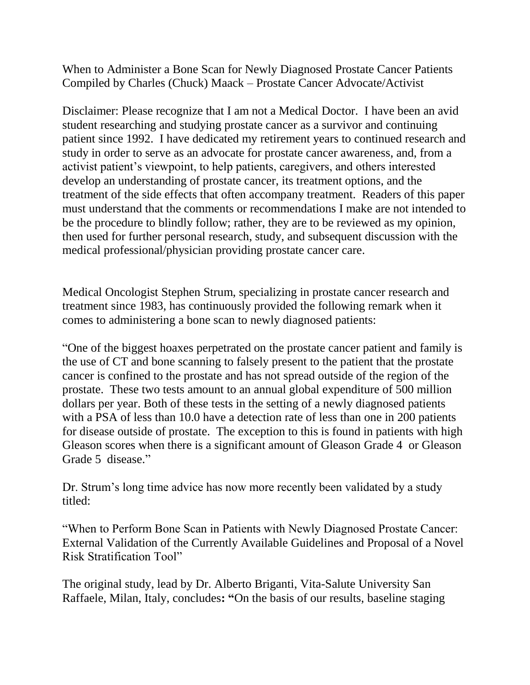When to Administer a Bone Scan for Newly Diagnosed Prostate Cancer Patients Compiled by Charles (Chuck) Maack – Prostate Cancer Advocate/Activist

Disclaimer: Please recognize that I am not a Medical Doctor. I have been an avid student researching and studying prostate cancer as a survivor and continuing patient since 1992. I have dedicated my retirement years to continued research and study in order to serve as an advocate for prostate cancer awareness, and, from a activist patient's viewpoint, to help patients, caregivers, and others interested develop an understanding of prostate cancer, its treatment options, and the treatment of the side effects that often accompany treatment. Readers of this paper must understand that the comments or recommendations I make are not intended to be the procedure to blindly follow; rather, they are to be reviewed as my opinion, then used for further personal research, study, and subsequent discussion with the medical professional/physician providing prostate cancer care.

Medical Oncologist Stephen Strum, specializing in prostate cancer research and treatment since 1983, has continuously provided the following remark when it comes to administering a bone scan to newly diagnosed patients:

"One of the biggest hoaxes perpetrated on the prostate cancer patient and family is the use of CT and bone scanning to falsely present to the patient that the prostate cancer is confined to the prostate and has not spread outside of the region of the prostate. These two tests amount to an annual global expenditure of 500 million dollars per year. Both of these tests in the setting of a newly diagnosed patients with a PSA of less than 10.0 have a detection rate of less than one in 200 patients for disease outside of prostate. The exception to this is found in patients with high Gleason scores when there is a significant amount of Gleason Grade 4 or Gleason Grade 5 disease."

Dr. Strum's long time advice has now more recently been validated by a study titled:

"When to Perform Bone Scan in Patients with Newly Diagnosed Prostate Cancer: External Validation of the Currently Available Guidelines and Proposal of a Novel Risk Stratification Tool"

The original study, lead by Dr. Alberto Briganti, Vita-Salute University San Raffaele, Milan, Italy, concludes**: "**On the basis of our results, baseline staging